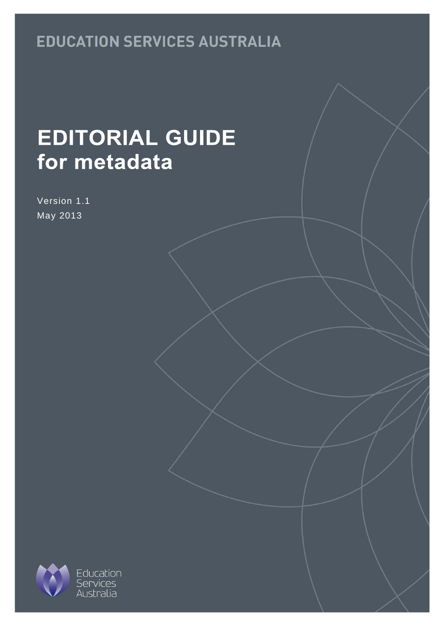## **EDUCATION SERVICES AUSTRALIA**

# **EDITORIAL GUIDE** for metadata

Version 1.1 May 2013

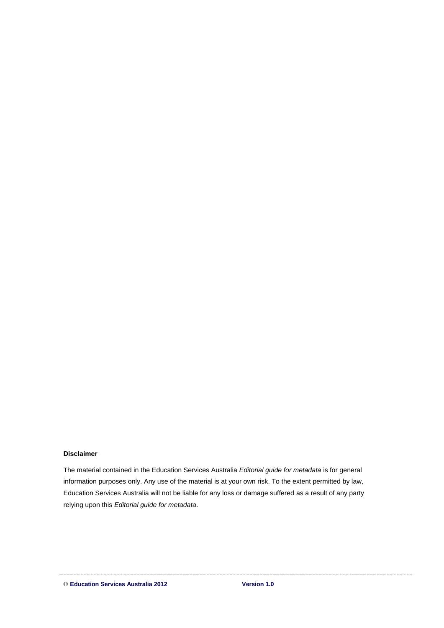#### **Disclaimer**

The material contained in the Education Services Australia *Editorial guide for metadata* is for general information purposes only. Any use of the material is at your own risk. To the extent permitted by law, Education Services Australia will not be liable for any loss or damage suffered as a result of any party relying upon this *Editorial guide for metadata*.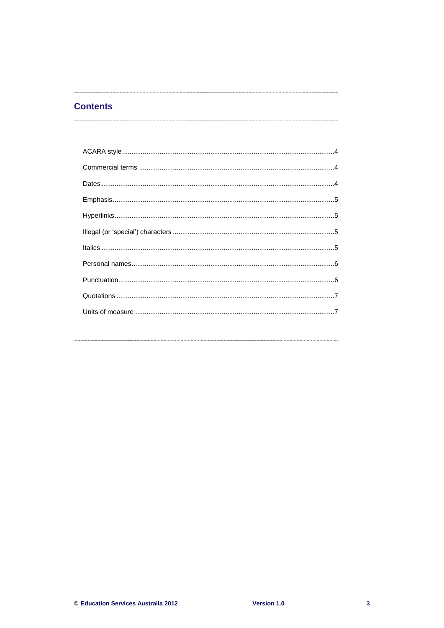#### **Contents**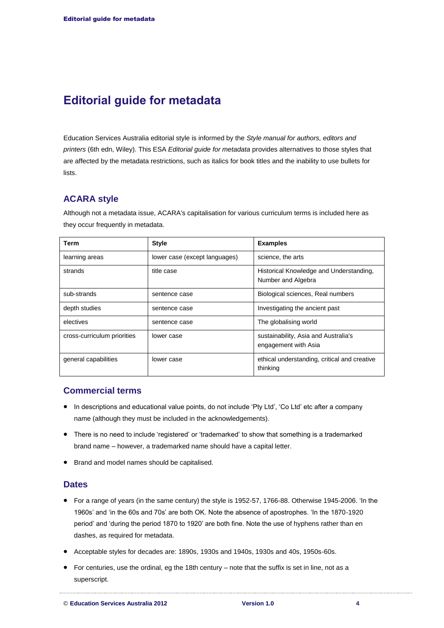### **Editorial guide for metadata**

Education Services Australia editorial style is informed by the *Style manual for authors, editors and printers* (6th edn, Wiley). This ESA *Editorial guide for metadata* provides alternatives to those styles that are affected by the metadata restrictions, such as italics for book titles and the inability to use bullets for lists.

#### <span id="page-3-0"></span>**ACARA style**

Although not a metadata issue, ACARA's capitalisation for various curriculum terms is included here as they occur frequently in metadata.

| Term                        | <b>Style</b>                  | <b>Examples</b>                                               |
|-----------------------------|-------------------------------|---------------------------------------------------------------|
| learning areas              | lower case (except languages) | science, the arts                                             |
| strands                     | title case                    | Historical Knowledge and Understanding,<br>Number and Algebra |
| sub-strands                 | sentence case                 | Biological sciences, Real numbers                             |
| depth studies               | sentence case                 | Investigating the ancient past                                |
| electives                   | sentence case                 | The globalising world                                         |
| cross-curriculum priorities | lower case                    | sustainability, Asia and Australia's<br>engagement with Asia  |
| general capabilities        | lower case                    | ethical understanding, critical and creative<br>thinking      |

#### <span id="page-3-1"></span>**Commercial terms**

- In descriptions and educational value points, do not include 'Pty Ltd', 'Co Ltd' etc after a company name (although they must be included in the acknowledgements).
- There is no need to include 'registered' or 'trademarked' to show that something is a trademarked brand name – however, a trademarked name should have a capital letter.
- Brand and model names should be capitalised.

#### <span id="page-3-2"></span>**Dates**

- For a range of years (in the same century) the style is 1952-57, 1766-88. Otherwise 1945-2006. 'In the 1960s' and 'in the 60s and 70s' are both OK. Note the absence of apostrophes. 'In the 1870-1920 period' and 'during the period 1870 to 1920' are both fine. Note the use of hyphens rather than en dashes, as required for metadata.
- Acceptable styles for decades are: 1890s, 1930s and 1940s, 1930s and 40s, 1950s-60s.
- $\bullet$  For centuries, use the ordinal, eg the 18th century note that the suffix is set in line, not as a superscript.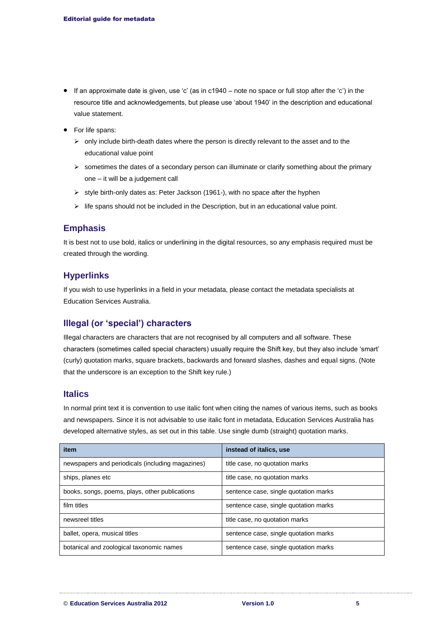- If an approximate date is given, use 'c' (as in c1940 note no space or full stop after the 'c') in the resource title and acknowledgements, but please use 'about 1940' in the description and educational value statement.
- For life spans:
	- $\triangleright$  only include birth-death dates where the person is directly relevant to the asset and to the educational value point
	- $\triangleright$  sometimes the dates of a secondary person can illuminate or clarify something about the primary one – it will be a judgement call
	- $\triangleright$  style birth-only dates as: Peter Jackson (1961-), with no space after the hyphen
	- $\triangleright$  life spans should not be included in the Description, but in an educational value point.

#### <span id="page-4-0"></span>**Emphasis**

It is best not to use bold, italics or underlining in the digital resources, so any emphasis required must be created through the wording.

#### <span id="page-4-1"></span>**Hyperlinks**

If you wish to use hyperlinks in a field in your metadata, please contact the metadata specialists at Education Services Australia.

#### <span id="page-4-2"></span>**Illegal (or 'special') characters**

Illegal characters are characters that are not recognised by all computers and all software. These characters (sometimes called special characters) usually require the Shift key, but they also include 'smart' (curly) quotation marks, square brackets, backwards and forward slashes, dashes and equal signs. (Note that the underscore is an exception to the Shift key rule.)

#### <span id="page-4-3"></span>**Italics**

In normal print text it is convention to use italic font when citing the names of various items, such as books and newspapers. Since it is not advisable to use italic font in metadata, Education Services Australia has developed alternative styles, as set out in this table. Use single dumb (straight) quotation marks.

| item                                             | instead of italics, use               |
|--------------------------------------------------|---------------------------------------|
| newspapers and periodicals (including magazines) | title case, no quotation marks        |
| ships, planes etc                                | title case, no quotation marks        |
| books, songs, poems, plays, other publications   | sentence case, single quotation marks |
| film titles                                      | sentence case, single quotation marks |
| newsreel titles                                  | title case, no quotation marks        |
| ballet, opera, musical titles                    | sentence case, single quotation marks |
| botanical and zoological taxonomic names         | sentence case, single quotation marks |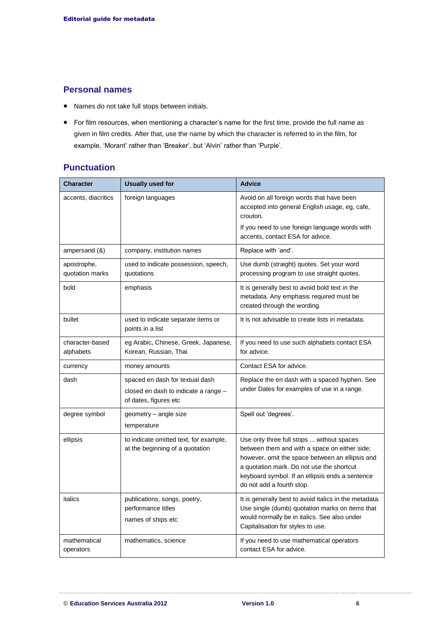#### <span id="page-5-0"></span>**Personal names**

- Names do not take full stops between initials.
- For film resources, when mentioning a character's name for the first time, provide the full name as given in film credits. After that, use the name by which the character is referred to in the film, for example, 'Morant' rather than 'Breaker', but 'Alvin' rather than 'Purple'.

#### <span id="page-5-1"></span>**Punctuation**

| Character                      | <b>Usually used for</b>                                                   | <b>Advice</b>                                                                                                                                                                                                                                                              |
|--------------------------------|---------------------------------------------------------------------------|----------------------------------------------------------------------------------------------------------------------------------------------------------------------------------------------------------------------------------------------------------------------------|
| accents, diacritics            | foreign languages                                                         | Avoid on all foreign words that have been<br>accepted into general English usage, eg, cafe,<br>crouton.                                                                                                                                                                    |
|                                |                                                                           | If you need to use foreign language words with<br>accents, contact ESA for advice.                                                                                                                                                                                         |
| ampersand (&)                  | company, institution names                                                | Replace with 'and'.                                                                                                                                                                                                                                                        |
| apostrophe,<br>quotation marks | used to indicate possession, speech,<br>quotations                        | Use dumb (straight) quotes. Set your word<br>processing program to use straight quotes.                                                                                                                                                                                    |
| bold                           | emphasis                                                                  | It is generally best to avoid bold text in the<br>metadata. Any emphasis required must be<br>created through the wording.                                                                                                                                                  |
| bullet                         | used to indicate separate items or<br>points in a list                    | It is not advisable to create lists in metadata.                                                                                                                                                                                                                           |
| character-based<br>alphabets   | eg Arabic, Chinese, Greek, Japanese,<br>Korean, Russian, Thai             | If you need to use such alphabets contact ESA<br>for advice.                                                                                                                                                                                                               |
| currency                       | money amounts                                                             | Contact ESA for advice.                                                                                                                                                                                                                                                    |
| dash                           | spaced en dash for textual dash                                           | Replace the en dash with a spaced hyphen. See                                                                                                                                                                                                                              |
|                                | closed en dash to indicate a range -<br>of dates, figures etc             | under Dates for examples of use in a range.                                                                                                                                                                                                                                |
| degree symbol                  | geometry – angle size                                                     | Spell out 'degrees'.                                                                                                                                                                                                                                                       |
|                                | temperature                                                               |                                                                                                                                                                                                                                                                            |
| ellipsis                       | to indicate omitted text, for example,<br>at the beginning of a quotation | Use only three full stops  without spaces<br>between them and with a space on either side;<br>however, omit the space between an ellipsis and<br>a quotation mark. Do not use the shortcut<br>keyboard symbol. If an ellipsis ends a sentence<br>do not add a fourth stop. |
| italics                        | publications, songs, poetry,<br>performance titles                        | It is generally best to avoid italics in the metadata.<br>Use single (dumb) quotation marks on items that                                                                                                                                                                  |
|                                | names of ships etc                                                        | would normally be in italics. See also under<br>Capitalisation for styles to use.                                                                                                                                                                                          |
| mathematical<br>operators      | mathematics, science                                                      | If you need to use mathematical operators<br>contact ESA for advice.                                                                                                                                                                                                       |